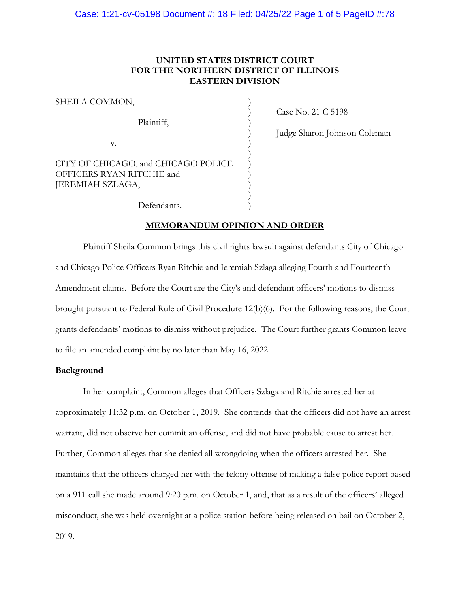## **UNITED STATES DISTRICT COURT FOR THE NORTHERN DISTRICT OF ILLINOIS EASTERN DIVISION**

| SHEILA COMMON,                                                                       |  |
|--------------------------------------------------------------------------------------|--|
| Plaintiff,                                                                           |  |
| v.                                                                                   |  |
| CITY OF CHICAGO, and CHICAGO POLICE<br>OFFICERS RYAN RITCHIE and<br>JEREMIAH SZLAGA, |  |

Defendants.

) Case No. 21 C 5198

) Judge Sharon Johnson Coleman

### **MEMORANDUM OPINION AND ORDER**

Plaintiff Sheila Common brings this civil rights lawsuit against defendants City of Chicago and Chicago Police Officers Ryan Ritchie and Jeremiah Szlaga alleging Fourth and Fourteenth Amendment claims. Before the Court are the City's and defendant officers' motions to dismiss brought pursuant to Federal Rule of Civil Procedure 12(b)(6). For the following reasons, the Court grants defendants' motions to dismiss without prejudice. The Court further grants Common leave to file an amended complaint by no later than May 16, 2022.

## **Background**

In her complaint, Common alleges that Officers Szlaga and Ritchie arrested her at approximately 11:32 p.m. on October 1, 2019. She contends that the officers did not have an arrest warrant, did not observe her commit an offense, and did not have probable cause to arrest her. Further, Common alleges that she denied all wrongdoing when the officers arrested her. She maintains that the officers charged her with the felony offense of making a false police report based on a 911 call she made around 9:20 p.m. on October 1, and, that as a result of the officers' alleged misconduct, she was held overnight at a police station before being released on bail on October 2, 2019.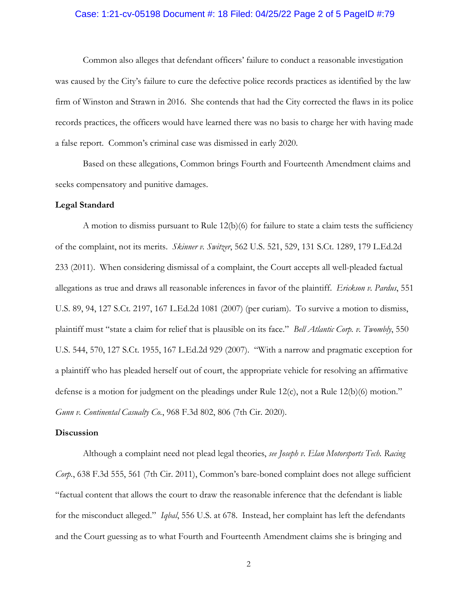### Case: 1:21-cv-05198 Document #: 18 Filed: 04/25/22 Page 2 of 5 PageID #:79

Common also alleges that defendant officers' failure to conduct a reasonable investigation was caused by the City's failure to cure the defective police records practices as identified by the law firm of Winston and Strawn in 2016. She contends that had the City corrected the flaws in its police records practices, the officers would have learned there was no basis to charge her with having made a false report. Common's criminal case was dismissed in early 2020.

Based on these allegations, Common brings Fourth and Fourteenth Amendment claims and seeks compensatory and punitive damages.

#### **Legal Standard**

A motion to dismiss pursuant to Rule  $12(b)(6)$  for failure to state a claim tests the sufficiency of the complaint, not its merits. *Skinner v. Switzer*, 562 U.S. 521, 529, 131 S.Ct. 1289, 179 L.Ed.2d 233 (2011). When considering dismissal of a complaint, the Court accepts all well-pleaded factual allegations as true and draws all reasonable inferences in favor of the plaintiff. *Erickson v. Pardus*, 551 U.S. 89, 94, 127 S.Ct. 2197, 167 L.Ed.2d 1081 (2007) (per curiam). To survive a motion to dismiss, plaintiff must "state a claim for relief that is plausible on its face." *Bell Atlantic Corp. v. Twombly*, 550 U.S. 544, 570, 127 S.Ct. 1955, 167 L.Ed.2d 929 (2007). "With a narrow and pragmatic exception for a plaintiff who has pleaded herself out of court, the appropriate vehicle for resolving an affirmative defense is a motion for judgment on the pleadings under Rule 12(c), not a Rule 12(b)(6) motion." *Gunn v. Continental Casualty Co.*, 968 F.3d 802, 806 (7th Cir. 2020).

#### **Discussion**

Although a complaint need not plead legal theories, *see Joseph v. Elan Motorsports Tech. Racing Corp.*, 638 F.3d 555, 561 (7th Cir. 2011), Common's bare-boned complaint does not allege sufficient "factual content that allows the court to draw the reasonable inference that the defendant is liable for the misconduct alleged." *Iqbal*, 556 U.S. at 678. Instead, her complaint has left the defendants and the Court guessing as to what Fourth and Fourteenth Amendment claims she is bringing and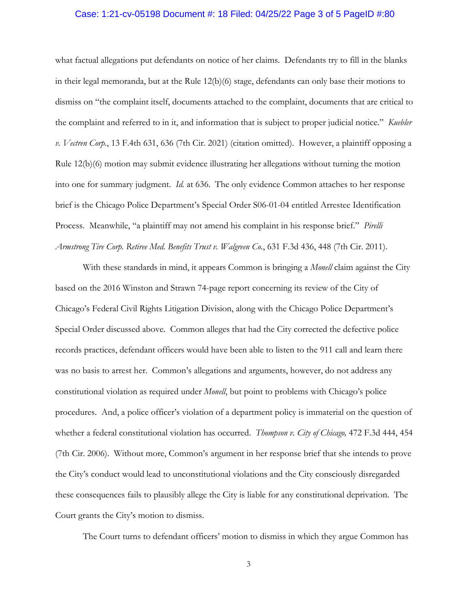#### Case: 1:21-cv-05198 Document #: 18 Filed: 04/25/22 Page 3 of 5 PageID #:80

what factual allegations put defendants on notice of her claims. Defendants try to fill in the blanks in their legal memoranda, but at the Rule 12(b)(6) stage, defendants can only base their motions to dismiss on "the complaint itself, documents attached to the complaint, documents that are critical to the complaint and referred to in it, and information that is subject to proper judicial notice." *Kuebler v. Vectren Corp.*, 13 F.4th 631, 636 (7th Cir. 2021) (citation omitted). However, a plaintiff opposing a Rule 12(b)(6) motion may submit evidence illustrating her allegations without turning the motion into one for summary judgment. *Id.* at 636. The only evidence Common attaches to her response brief is the Chicago Police Department's Special Order S06-01-04 entitled Arrestee Identification Process. Meanwhile, "a plaintiff may not amend his complaint in his response brief." *Pirelli Armstrong Tire Corp. Retiree Med. Benefits Trust v. Walgreen Co.*, 631 F.3d 436, 448 (7th Cir. 2011).

With these standards in mind, it appears Common is bringing a *Monell* claim against the City based on the 2016 Winston and Strawn 74-page report concerning its review of the City of Chicago's Federal Civil Rights Litigation Division, along with the Chicago Police Department's Special Order discussed above. Common alleges that had the City corrected the defective police records practices, defendant officers would have been able to listen to the 911 call and learn there was no basis to arrest her. Common's allegations and arguments, however, do not address any constitutional violation as required under *Monell*, but point to problems with Chicago's police procedures. And, a police officer's violation of a department policy is immaterial on the question of whether a federal constitutional violation has occurred. *Thompson v. City of Chicago,* 472 F.3d 444, 454 (7th Cir. 2006). Without more, Common's argument in her response brief that she intends to prove the City's conduct would lead to unconstitutional violations and the City consciously disregarded these consequences fails to plausibly allege the City is liable for any constitutional deprivation. The Court grants the City's motion to dismiss.

The Court turns to defendant officers' motion to dismiss in which they argue Common has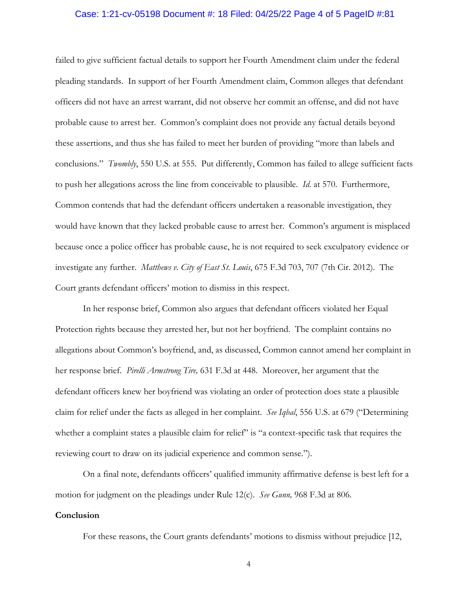#### Case: 1:21-cv-05198 Document #: 18 Filed: 04/25/22 Page 4 of 5 PageID #:81

failed to give sufficient factual details to support her Fourth Amendment claim under the federal pleading standards. In support of her Fourth Amendment claim, Common alleges that defendant officers did not have an arrest warrant, did not observe her commit an offense, and did not have probable cause to arrest her. Common's complaint does not provide any factual details beyond these assertions, and thus she has failed to meet her burden of providing "more than labels and conclusions." *Twombly*, 550 U.S. at 555. Put differently, Common has failed to allege sufficient facts to push her allegations across the line from conceivable to plausible. *Id*. at 570. Furthermore, Common contends that had the defendant officers undertaken a reasonable investigation, they would have known that they lacked probable cause to arrest her. Common's argument is misplaced because once a police officer has probable cause, he is not required to seek exculpatory evidence or investigate any further. *Matthews v. City of East St. Louis*, 675 F.3d 703, 707 (7th Cir. 2012). The Court grants defendant officers' motion to dismiss in this respect.

In her response brief, Common also argues that defendant officers violated her Equal Protection rights because they arrested her, but not her boyfriend. The complaint contains no allegations about Common's boyfriend, and, as discussed, Common cannot amend her complaint in her response brief. *Pirelli Armstrong Tire,* 631 F.3d at 448. Moreover, her argument that the defendant officers knew her boyfriend was violating an order of protection does state a plausible claim for relief under the facts as alleged in her complaint. *See Iqbal*, 556 U.S. at 679 ("Determining whether a complaint states a plausible claim for relief" is "a context-specific task that requires the reviewing court to draw on its judicial experience and common sense.").

On a final note, defendants officers' qualified immunity affirmative defense is best left for a motion for judgment on the pleadings under Rule 12(c). *See Gunn,* 968 F.3d at 806.

#### **Conclusion**

For these reasons, the Court grants defendants' motions to dismiss without prejudice [12,